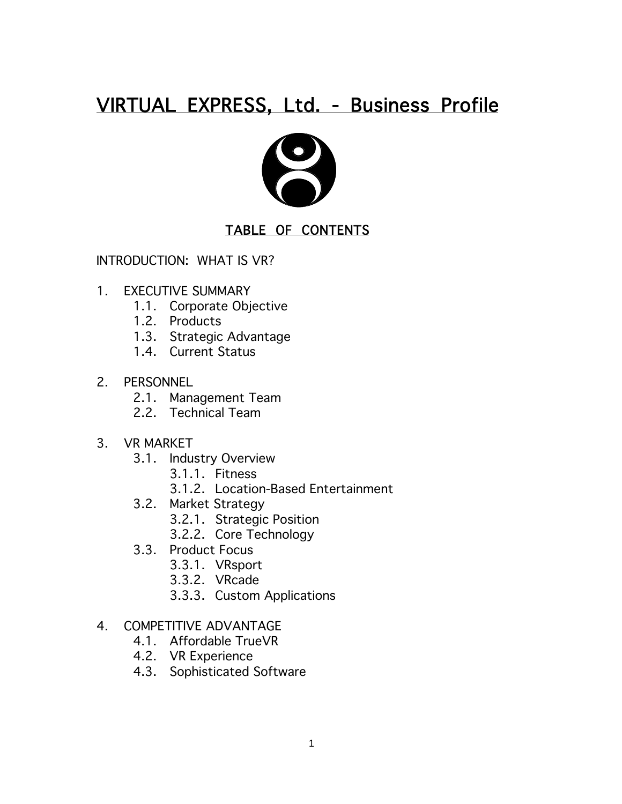# VIRTUAL EXPRESS, Ltd. - Business Profile



#### TABLE OF CONTENTS

INTRODUCTION: WHAT IS VR?

- 1. EXECUTIVE SUMMARY
	- 1.1. Corporate Objective
	- 1.2. Products
	- 1.3. Strategic Advantage
	- 1.4. Current Status
- 2. PERSONNEL
	- 2.1. Management Team
	- 2.2. Technical Team
- 3. VR MARKET
	- 3.1. Industry Overview
		- 3.1.1. Fitness
		- 3.1.2. Location-Based Entertainment
	- 3.2. Market Strategy
		- 3.2.1. Strategic Position
		- 3.2.2. Core Technology
	- 3.3. Product Focus
		- 3.3.1. VRsport
		- 3.3.2. VRcade
		- 3.3.3. Custom Applications
- 4. COMPETITIVE ADVANTAGE
	- 4.1. Affordable TrueVR
	- 4.2. VR Experience
	- 4.3. Sophisticated Software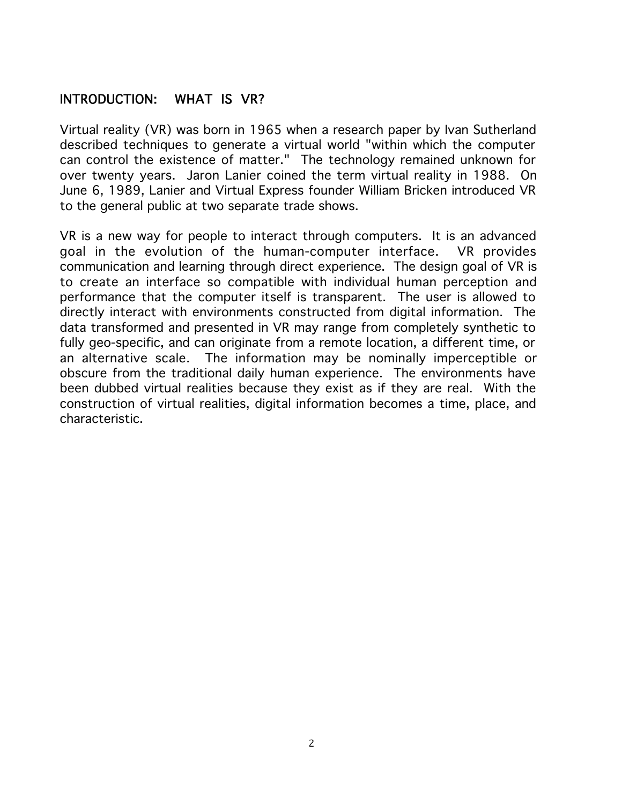#### INTRODUCTION: WHAT IS VR?

Virtual reality (VR) was born in 1965 when a research paper by Ivan Sutherland described techniques to generate a virtual world "within which the computer can control the existence of matter." The technology remained unknown for over twenty years. Jaron Lanier coined the term virtual reality in 1988. On June 6, 1989, Lanier and Virtual Express founder William Bricken introduced VR to the general public at two separate trade shows.

VR is a new way for people to interact through computers. It is an advanced goal in the evolution of the human-computer interface. VR provides communication and learning through direct experience. The design goal of VR is to create an interface so compatible with individual human perception and performance that the computer itself is transparent. The user is allowed to directly interact with environments constructed from digital information. The data transformed and presented in VR may range from completely synthetic to fully geo-specific, and can originate from a remote location, a different time, or an alternative scale. The information may be nominally imperceptible or obscure from the traditional daily human experience. The environments have been dubbed virtual realities because they exist as if they are real. With the construction of virtual realities, digital information becomes a time, place, and characteristic.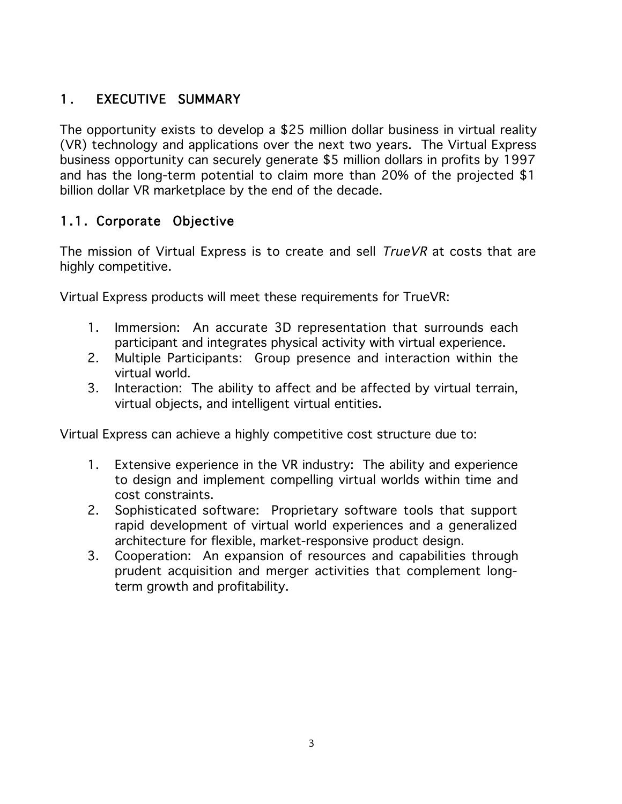## 1. EXECUTIVE SUMMARY

The opportunity exists to develop a \$25 million dollar business in virtual reality (VR) technology and applications over the next two years. The Virtual Express business opportunity can securely generate \$5 million dollars in profits by 1997 and has the long-term potential to claim more than 20% of the projected \$1 billion dollar VR marketplace by the end of the decade.

## 1.1. Corporate Objective

The mission of Virtual Express is to create and sell TrueVR at costs that are highly competitive.

Virtual Express products will meet these requirements for TrueVR:

- 1. Immersion: An accurate 3D representation that surrounds each participant and integrates physical activity with virtual experience.
- 2. Multiple Participants: Group presence and interaction within the virtual world.
- 3. Interaction: The ability to affect and be affected by virtual terrain, virtual objects, and intelligent virtual entities.

Virtual Express can achieve a highly competitive cost structure due to:

- 1. Extensive experience in the VR industry: The ability and experience to design and implement compelling virtual worlds within time and cost constraints.
- 2. Sophisticated software: Proprietary software tools that support rapid development of virtual world experiences and a generalized architecture for flexible, market-responsive product design.
- 3. Cooperation: An expansion of resources and capabilities through prudent acquisition and merger activities that complement longterm growth and profitability.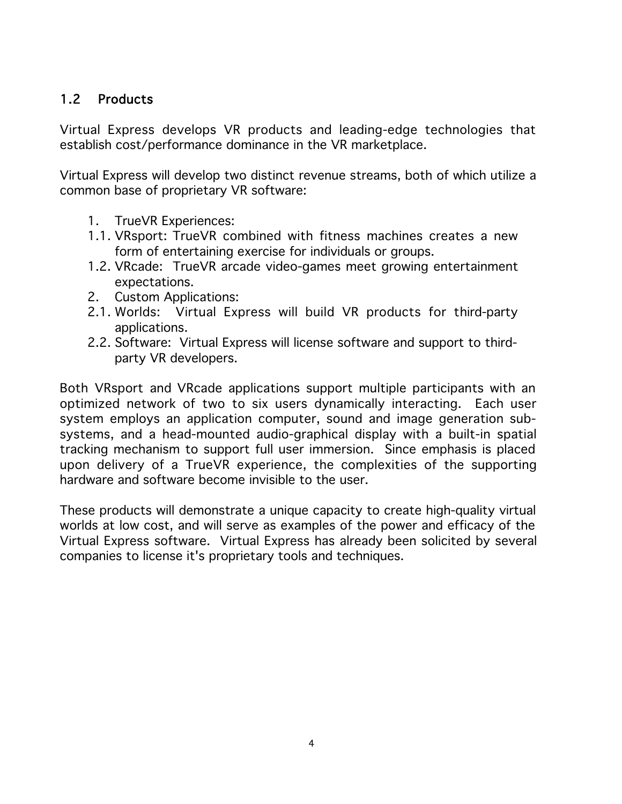#### 1.2 Products

Virtual Express develops VR products and leading-edge technologies that establish cost/performance dominance in the VR marketplace.

Virtual Express will develop two distinct revenue streams, both of which utilize a common base of proprietary VR software:

- 1. TrueVR Experiences:
- 1.1. VRsport: TrueVR combined with fitness machines creates a new form of entertaining exercise for individuals or groups.
- 1.2. VRcade: TrueVR arcade video-games meet growing entertainment expectations.
- 2. Custom Applications:
- 2.1. Worlds: Virtual Express will build VR products for third-party applications.
- 2.2. Software: Virtual Express will license software and support to thirdparty VR developers.

Both VRsport and VRcade applications support multiple participants with an optimized network of two to six users dynamically interacting. Each user system employs an application computer, sound and image generation subsystems, and a head-mounted audio-graphical display with a built-in spatial tracking mechanism to support full user immersion. Since emphasis is placed upon delivery of a TrueVR experience, the complexities of the supporting hardware and software become invisible to the user.

These products will demonstrate a unique capacity to create high-quality virtual worlds at low cost, and will serve as examples of the power and efficacy of the Virtual Express software. Virtual Express has already been solicited by several companies to license it's proprietary tools and techniques.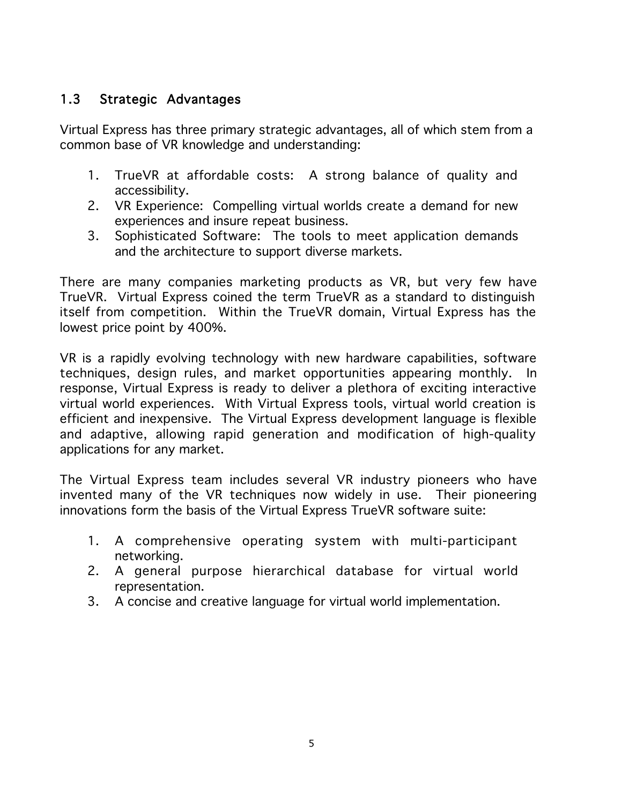## 1.3 Strategic Advantages

Virtual Express has three primary strategic advantages, all of which stem from a common base of VR knowledge and understanding:

- 1. TrueVR at affordable costs: A strong balance of quality and accessibility.
- 2. VR Experience: Compelling virtual worlds create a demand for new experiences and insure repeat business.
- 3. Sophisticated Software: The tools to meet application demands and the architecture to support diverse markets.

There are many companies marketing products as VR, but very few have TrueVR. Virtual Express coined the term TrueVR as a standard to distinguish itself from competition. Within the TrueVR domain, Virtual Express has the lowest price point by 400%.

VR is a rapidly evolving technology with new hardware capabilities, software techniques, design rules, and market opportunities appearing monthly. In response, Virtual Express is ready to deliver a plethora of exciting interactive virtual world experiences. With Virtual Express tools, virtual world creation is efficient and inexpensive. The Virtual Express development language is flexible and adaptive, allowing rapid generation and modification of high-quality applications for any market.

The Virtual Express team includes several VR industry pioneers who have invented many of the VR techniques now widely in use. Their pioneering innovations form the basis of the Virtual Express TrueVR software suite:

- 1. A comprehensive operating system with multi-participant networking.
- 2. A general purpose hierarchical database for virtual world representation.
- 3. A concise and creative language for virtual world implementation.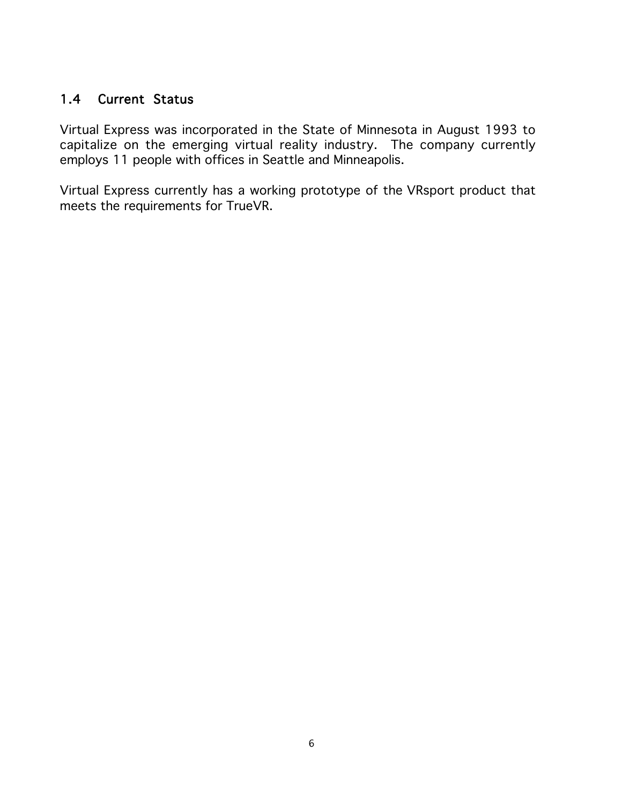#### 1.4 Current Status

Virtual Express was incorporated in the State of Minnesota in August 1993 to capitalize on the emerging virtual reality industry. The company currently employs 11 people with offices in Seattle and Minneapolis.

Virtual Express currently has a working prototype of the VRsport product that meets the requirements for TrueVR.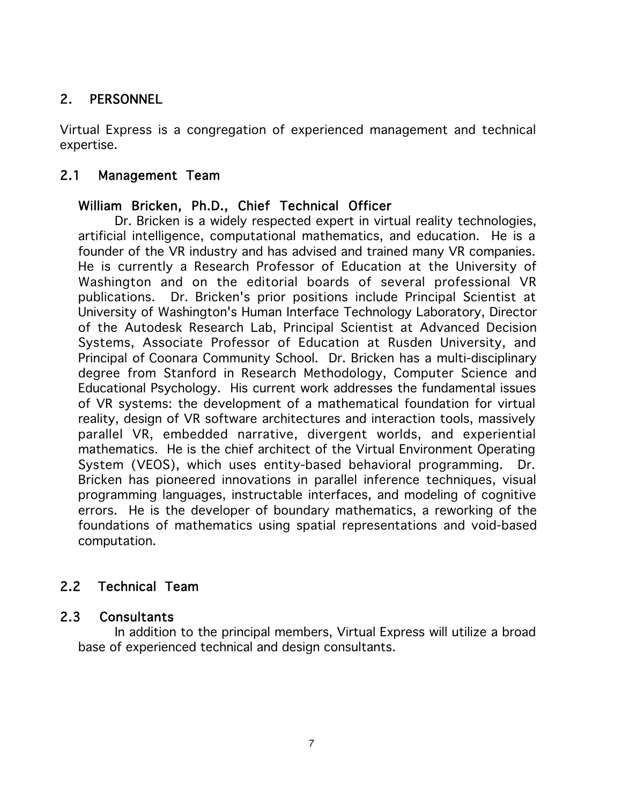## 2. PERSONNEL

Virtual Express is a congregation of experienced management and technical expertise.

#### 2.1 Management Team

#### William Bricken, Ph.D., Chief Technical Officer

Dr. Bricken is a widely respected expert in virtual reality technologies, artificial intelligence, computational mathematics, and education. He is a founder of the VR industry and has advised and trained many VR companies. He is currently a Research Professor of Education at the University of Washington and on the editorial boards of several professional VR publications. Dr. Bricken's prior positions include Principal Scientist at University of Washington's Human Interface Technology Laboratory, Director of the Autodesk Research Lab, Principal Scientist at Advanced Decision Systems, Associate Professor of Education at Rusden University, and Principal of Coonara Community School. Dr. Bricken has a multi-disciplinary degree from Stanford in Research Methodology, Computer Science and Educational Psychology. His current work addresses the fundamental issues of VR systems: the development of a mathematical foundation for virtual reality, design of VR software architectures and interaction tools, massively parallel VR, embedded narrative, divergent worlds, and experiential mathematics. He is the chief architect of the Virtual Environment Operating System (VEOS), which uses entity-based behavioral programming. Dr. Bricken has pioneered innovations in parallel inference techniques, visual programming languages, instructable interfaces, and modeling of cognitive errors. He is the developer of boundary mathematics, a reworking of the foundations of mathematics using spatial representations and void-based computation.

#### 2.2 Technical Team

#### 2.3 Consultants

In addition to the principal members, Virtual Express will utilize a broad base of experienced technical and design consultants.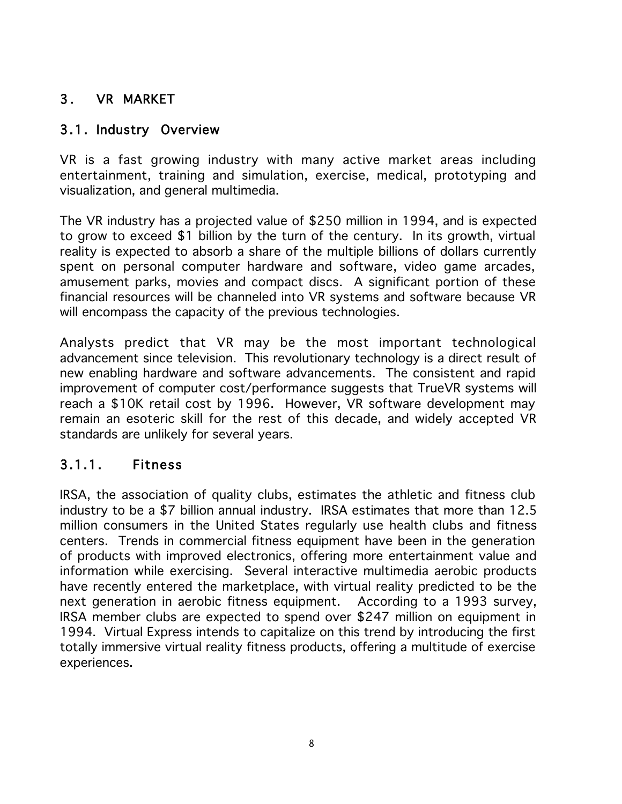## 3. VR MARKET

#### 3.1. Industry Overview

VR is a fast growing industry with many active market areas including entertainment, training and simulation, exercise, medical, prototyping and visualization, and general multimedia.

The VR industry has a projected value of \$250 million in 1994, and is expected to grow to exceed \$1 billion by the turn of the century. In its growth, virtual reality is expected to absorb a share of the multiple billions of dollars currently spent on personal computer hardware and software, video game arcades, amusement parks, movies and compact discs. A significant portion of these financial resources will be channeled into VR systems and software because VR will encompass the capacity of the previous technologies.

Analysts predict that VR may be the most important technological advancement since television. This revolutionary technology is a direct result of new enabling hardware and software advancements. The consistent and rapid improvement of computer cost/performance suggests that TrueVR systems will reach a \$10K retail cost by 1996. However, VR software development may remain an esoteric skill for the rest of this decade, and widely accepted VR standards are unlikely for several years.

#### 3.1.1. Fitness

IRSA, the association of quality clubs, estimates the athletic and fitness club industry to be a \$7 billion annual industry. IRSA estimates that more than 12.5 million consumers in the United States regularly use health clubs and fitness centers. Trends in commercial fitness equipment have been in the generation of products with improved electronics, offering more entertainment value and information while exercising. Several interactive multimedia aerobic products have recently entered the marketplace, with virtual reality predicted to be the next generation in aerobic fitness equipment. According to a 1993 survey, IRSA member clubs are expected to spend over \$247 million on equipment in 1994. Virtual Express intends to capitalize on this trend by introducing the first totally immersive virtual reality fitness products, offering a multitude of exercise experiences.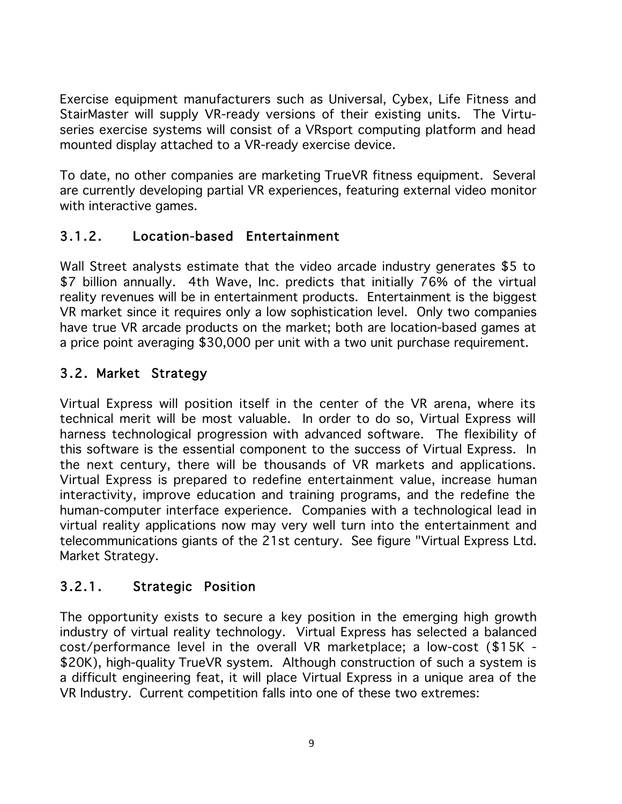Exercise equipment manufacturers such as Universal, Cybex, Life Fitness and StairMaster will supply VR-ready versions of their existing units. The Virtuseries exercise systems will consist of a VRsport computing platform and head mounted display attached to a VR-ready exercise device.

To date, no other companies are marketing TrueVR fitness equipment. Several are currently developing partial VR experiences, featuring external video monitor with interactive games.

## 3.1.2. Location-based Entertainment

Wall Street analysts estimate that the video arcade industry generates \$5 to \$7 billion annually. 4th Wave, Inc. predicts that initially 76% of the virtual reality revenues will be in entertainment products. Entertainment is the biggest VR market since it requires only a low sophistication level. Only two companies have true VR arcade products on the market; both are location-based games at a price point averaging \$30,000 per unit with a two unit purchase requirement.

## 3.2. Market Strategy

Virtual Express will position itself in the center of the VR arena, where its technical merit will be most valuable. In order to do so, Virtual Express will harness technological progression with advanced software. The flexibility of this software is the essential component to the success of Virtual Express. In the next century, there will be thousands of VR markets and applications. Virtual Express is prepared to redefine entertainment value, increase human interactivity, improve education and training programs, and the redefine the human-computer interface experience. Companies with a technological lead in virtual reality applications now may very well turn into the entertainment and telecommunications giants of the 21st century. See figure "Virtual Express Ltd. Market Strategy.

## 3.2.1. Strategic Position

The opportunity exists to secure a key position in the emerging high growth industry of virtual reality technology. Virtual Express has selected a balanced cost/performance level in the overall VR marketplace; a low-cost (\$15K - \$20K), high-quality TrueVR system. Although construction of such a system is a difficult engineering feat, it will place Virtual Express in a unique area of the VR Industry. Current competition falls into one of these two extremes: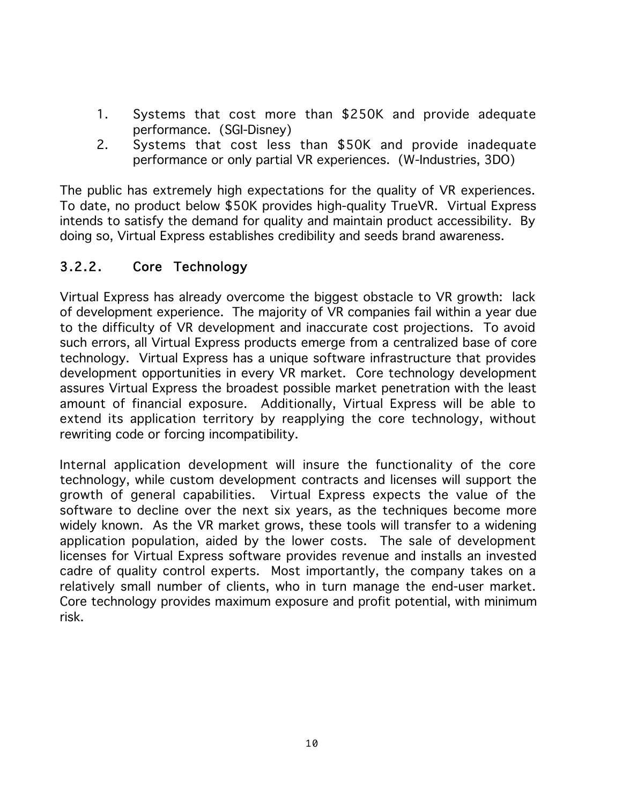- 1. Systems that cost more than \$250K and provide adequate performance. (SGI-Disney)
- 2. Systems that cost less than \$50K and provide inadequate performance or only partial VR experiences. (W-Industries, 3DO)

The public has extremely high expectations for the quality of VR experiences. To date, no product below \$50K provides high-quality TrueVR. Virtual Express intends to satisfy the demand for quality and maintain product accessibility. By doing so, Virtual Express establishes credibility and seeds brand awareness.

## 3.2.2. Core Technology

Virtual Express has already overcome the biggest obstacle to VR growth: lack of development experience. The majority of VR companies fail within a year due to the difficulty of VR development and inaccurate cost projections. To avoid such errors, all Virtual Express products emerge from a centralized base of core technology. Virtual Express has a unique software infrastructure that provides development opportunities in every VR market. Core technology development assures Virtual Express the broadest possible market penetration with the least amount of financial exposure. Additionally, Virtual Express will be able to extend its application territory by reapplying the core technology, without rewriting code or forcing incompatibility.

Internal application development will insure the functionality of the core technology, while custom development contracts and licenses will support the growth of general capabilities. Virtual Express expects the value of the software to decline over the next six years, as the techniques become more widely known. As the VR market grows, these tools will transfer to a widening application population, aided by the lower costs. The sale of development licenses for Virtual Express software provides revenue and installs an invested cadre of quality control experts. Most importantly, the company takes on a relatively small number of clients, who in turn manage the end-user market. Core technology provides maximum exposure and profit potential, with minimum risk.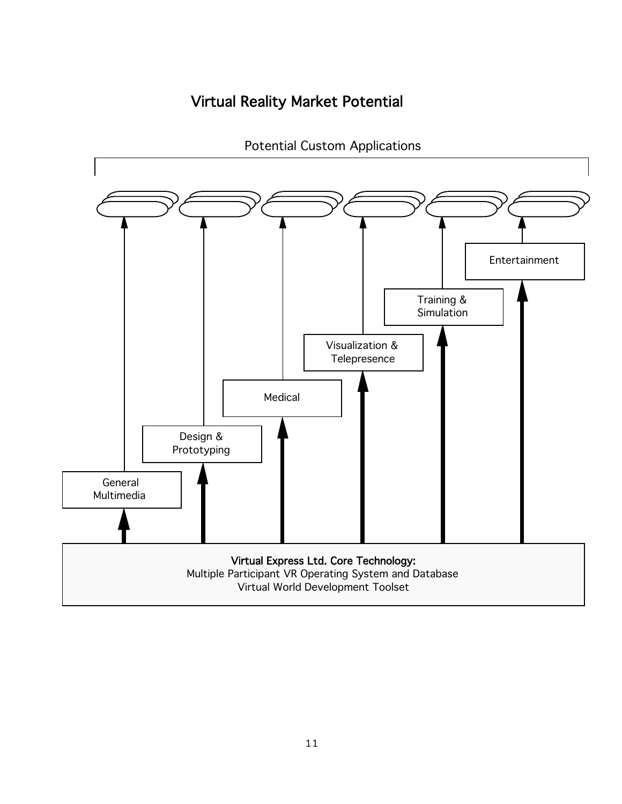## Virtual Reality Market Potential



Potential Custom Applications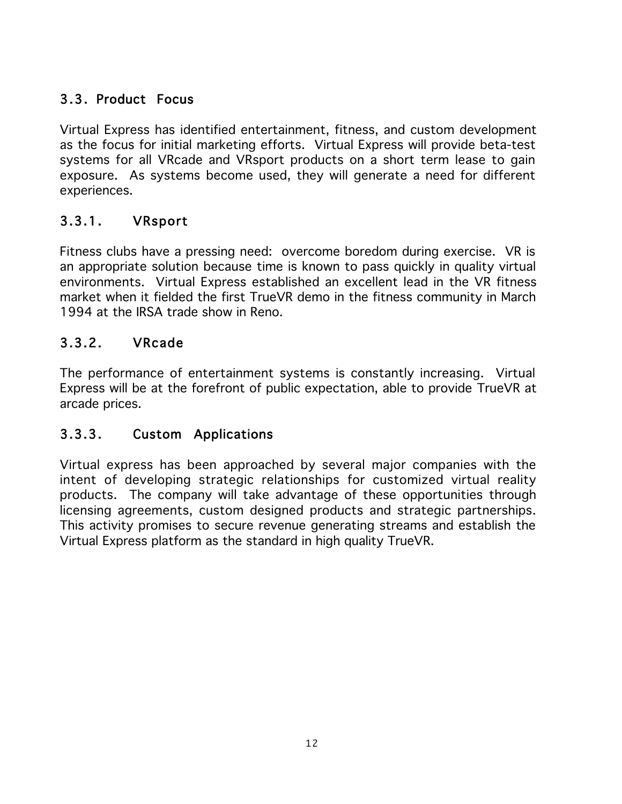## 3.3. Product Focus

Virtual Express has identified entertainment, fitness, and custom development as the focus for initial marketing efforts. Virtual Express will provide beta-test systems for all VRcade and VRsport products on a short term lease to gain exposure. As systems become used, they will generate a need for different experiences.

## 3.3.1. VRsport

Fitness clubs have a pressing need: overcome boredom during exercise. VR is an appropriate solution because time is known to pass quickly in quality virtual environments. Virtual Express established an excellent lead in the VR fitness market when it fielded the first TrueVR demo in the fitness community in March 1994 at the IRSA trade show in Reno.

## 3.3.2. VRcade

The performance of entertainment systems is constantly increasing. Virtual Express will be at the forefront of public expectation, able to provide TrueVR at arcade prices.

#### 3.3.3. Custom Applications

Virtual express has been approached by several major companies with the intent of developing strategic relationships for customized virtual reality products. The company will take advantage of these opportunities through licensing agreements, custom designed products and strategic partnerships. This activity promises to secure revenue generating streams and establish the Virtual Express platform as the standard in high quality TrueVR.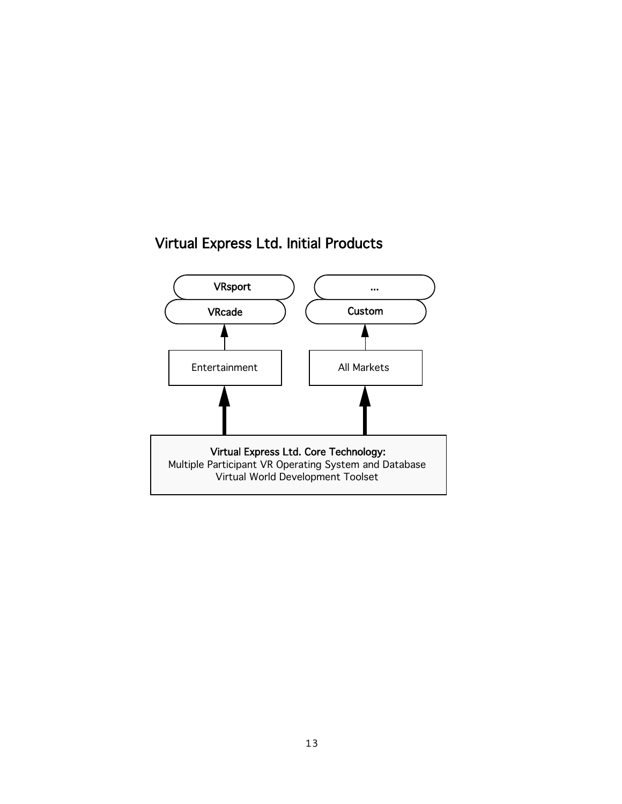## Virtual Express Ltd. Initial Products

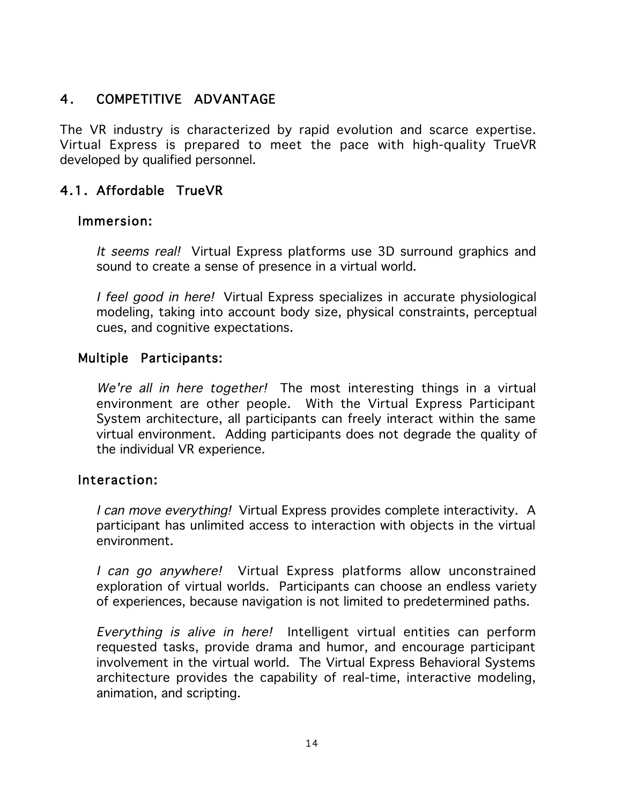## 4. COMPETITIVE ADVANTAGE

The VR industry is characterized by rapid evolution and scarce expertise. Virtual Express is prepared to meet the pace with high-quality TrueVR developed by qualified personnel.

#### 4.1. Affordable TrueVR

#### Immersion:

It seems real! Virtual Express platforms use 3D surround graphics and sound to create a sense of presence in a virtual world.

I feel good in here! Virtual Express specializes in accurate physiological modeling, taking into account body size, physical constraints, perceptual cues, and cognitive expectations.

#### Multiple Participants:

We're all in here together! The most interesting things in a virtual environment are other people. With the Virtual Express Participant System architecture, all participants can freely interact within the same virtual environment. Adding participants does not degrade the quality of the individual VR experience.

#### Interaction:

I can move everything! Virtual Express provides complete interactivity. A participant has unlimited access to interaction with objects in the virtual environment.

I can go anywhere! Virtual Express platforms allow unconstrained exploration of virtual worlds. Participants can choose an endless variety of experiences, because navigation is not limited to predetermined paths.

Everything is alive in here! Intelligent virtual entities can perform requested tasks, provide drama and humor, and encourage participant involvement in the virtual world. The Virtual Express Behavioral Systems architecture provides the capability of real-time, interactive modeling, animation, and scripting.